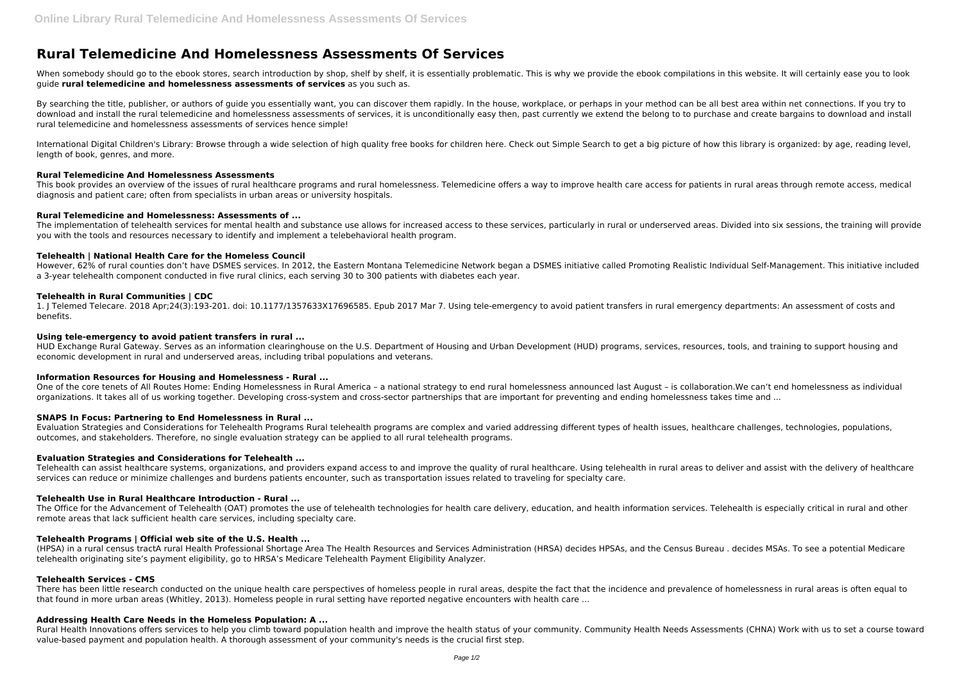# **Rural Telemedicine And Homelessness Assessments Of Services**

When somebody should go to the ebook stores, search introduction by shop, shelf by shelf, it is essentially problematic. This is why we provide the ebook compilations in this website. It will certainly ease you to look guide **rural telemedicine and homelessness assessments of services** as you such as.

By searching the title, publisher, or authors of quide you essentially want, you can discover them rapidly. In the house, workplace, or perhaps in your method can be all best area within net connections. If you try to download and install the rural telemedicine and homelessness assessments of services, it is unconditionally easy then, past currently we extend the belong to to purchase and create bargains to download and install rural telemedicine and homelessness assessments of services hence simple!

International Digital Children's Library: Browse through a wide selection of high quality free books for children here. Check out Simple Search to get a big picture of how this library is organized: by age, reading level, length of book, genres, and more.

The implementation of telehealth services for mental health and substance use allows for increased access to these services, particularly in rural or underserved areas. Divided into six sessions, the training will provide you with the tools and resources necessary to identify and implement a telebehavioral health program.

# **Rural Telemedicine And Homelessness Assessments**

This book provides an overview of the issues of rural healthcare programs and rural homelessness. Telemedicine offers a way to improve health care access for patients in rural areas through remote access, medical diagnosis and patient care; often from specialists in urban areas or university hospitals.

HUD Exchange Rural Gateway. Serves as an information clearinghouse on the U.S. Department of Housing and Urban Development (HUD) programs, services, resources, tools, and training to support housing and economic development in rural and underserved areas, including tribal populations and veterans.

## **Rural Telemedicine and Homelessness: Assessments of ...**

# **Telehealth | National Health Care for the Homeless Council**

However, 62% of rural counties don't have DSMES services. In 2012, the Eastern Montana Telemedicine Network began a DSMES initiative called Promoting Realistic Individual Self-Management. This initiative included a 3-year telehealth component conducted in five rural clinics, each serving 30 to 300 patients with diabetes each year.

# **Telehealth in Rural Communities | CDC**

1. J Telemed Telecare. 2018 Apr;24(3):193-201. doi: 10.1177/1357633X17696585. Epub 2017 Mar 7. Using tele-emergency to avoid patient transfers in rural emergency departments: An assessment of costs and benefits.

## **Using tele-emergency to avoid patient transfers in rural ...**

There has been little research conducted on the unique health care perspectives of homeless people in rural areas, despite the fact that the incidence and prevalence of homelessness in rural areas is often equal to that found in more urban areas (Whitley, 2013). Homeless people in rural setting have reported negative encounters with health care ...

Rural Health Innovations offers services to help you climb toward population health and improve the health status of your community. Community Health Needs Assessments (CHNA) Work with us to set a course toward value-based payment and population health. A thorough assessment of your community's needs is the crucial first step.

# **Information Resources for Housing and Homelessness - Rural ...**

One of the core tenets of All Routes Home: Ending Homelessness in Rural America – a national strategy to end rural homelessness announced last August – is collaboration.We can't end homelessness as individual organizations. It takes all of us working together. Developing cross-system and cross-sector partnerships that are important for preventing and ending homelessness takes time and ...

# **SNAPS In Focus: Partnering to End Homelessness in Rural ...**

Evaluation Strategies and Considerations for Telehealth Programs Rural telehealth programs are complex and varied addressing different types of health issues, healthcare challenges, technologies, populations, outcomes, and stakeholders. Therefore, no single evaluation strategy can be applied to all rural telehealth programs.

# **Evaluation Strategies and Considerations for Telehealth ...**

Telehealth can assist healthcare systems, organizations, and providers expand access to and improve the quality of rural healthcare. Using telehealth in rural areas to deliver and assist with the delivery of healthcare services can reduce or minimize challenges and burdens patients encounter, such as transportation issues related to traveling for specialty care.

# **Telehealth Use in Rural Healthcare Introduction - Rural ...**

The Office for the Advancement of Telehealth (OAT) promotes the use of telehealth technologies for health care delivery, education, and health information services. Telehealth is especially critical in rural and other remote areas that lack sufficient health care services, including specialty care.

# **Telehealth Programs | Official web site of the U.S. Health ...**

(HPSA) in a rural census tractA rural Health Professional Shortage Area The Health Resources and Services Administration (HRSA) decides HPSAs, and the Census Bureau . decides MSAs. To see a potential Medicare telehealth originating site's payment eligibility, go to HRSA's Medicare Telehealth Payment Eligibility Analyzer.

# **Telehealth Services - CMS**

# **Addressing Health Care Needs in the Homeless Population: A ...**